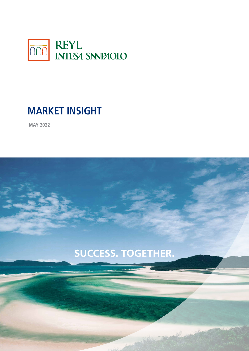

# **MARKET INSIGHT**

**MAY 2022**

# **SUCCESS. TOGETHER.** M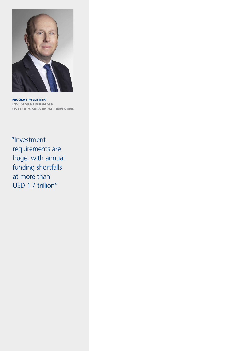

NICOLAS PELLETIER INVESTMENT MANAGER US EQUITY, SRI & IMPACT INVESTING

"Investment requirements are huge, with annual funding shortfalls at more than USD 1.7 trillion"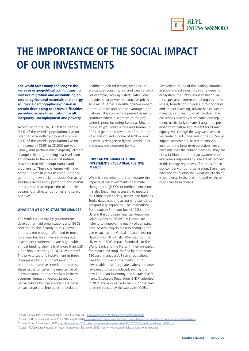

# **THE IMPORTANCE OF THE SOCIAL IMPACT OF OUR INVESTMENTS**

**The world faces many challenges: the increase in geopolitical conflict causing massive migration and destabilising access to agricultural materials and energy sources; a demographic explosion in certain developing countries; difficulties providing access to education for all; inequality, unemployment and poverty.** 

According to the UN, 1.2 billion people (15% of the world's population), live on less than one dollar a day and 4 billion (61% of the world's population) live on an income of \$365 to \$3,000 per year<sup>1</sup>. Finally, and perhaps most urgently, climate change is leading to rising sea levels and an increase in the number of natural disasters that will disrupt nature and biodiversity. These challenges will have consequences in years to come, notably generating new social tensions. Our activities have increasingly profound and global implications that impact the planet, the oceans, our climate, our cities and surely our lives.

### **WHAT CAN WE DO TO START THE CHANGE?**

The work carried out by governments, development aid organisations and NGOs contributes significantly to this. However, this is not enough. We need to move up a gear because time is running out. Investment requirements are huge, with annual funding shortfalls at more than USD 1.7 trillion, according to OECD estimates<sup>2</sup>. The private sector's involvement in these changes is obvious: impact investing is one of the responses needed to address these issues to foster the emergence of a low-carbon and more socially inclusive economy. Impact investors target companies whose business models are based on sustainable technologies, affordable

healthcare, fair education, responsible agriculture, consumption and clean energy. For example, Norway-listed Scatec Solar provides solar power at attractive prices. As a result, it has a double positive impact, on the climate and on disadvantaged populations. This company is present in many countries where a segment of the population is poor, including Rwanda, Mozambique, Egypt, South Africa and Jordan. In 2021, it generated revenues of more than €470 million and income of €29 million³. Its work is recognised by the World Bank and many development banks.

### **HOW CAN WE GUARANTEE OUR INVESTMENTS HAVE A REAL POSITIVE IMPACT?**

While it is essential to better measure the impacts of our investments on climate change through  $CO<sub>2</sub>$  or methane emissions, it is also becoming necessary to measure their impact on society, nature and humans. Tools, databases and accounting standards are gradually improving. The International Sustainability Standard Board (ISSB) in the US and the European Financial Reporting Advisory Group (EFRAG) in Europe are helping to improve the quality of company data. Several players are also changing the game, such as the Global Impact Investing Network (GIIN) with its IRIS+ method, the UN with its SDG Impact Standards, or the World Bank and the IFC with their principles for impact investing, ratified by more than 150 asset managers<sup>4</sup>. Finally, regulations need to improve, as the market is not always able to self-regulate. Labels and new laws need to be introduced, such as the new European taxonomy, the Sustainable Finance Disclosure Regulation (SFDR) adopted in 2021 and applicable to banks, or the new rules introduced by the successive COPs.

Switzerland is one of the leading countries in social impact investing, with a genuine ecosystem: the UN's European headquarters, specialised international organisations, NGOs, foundations, players in microfinance and impact investing, private banks, wealth managers and institutional investors. The challenges posed by sustainable development, particularly climate change, the preservation of nature and respect for human dignity, will change the way we invest, in Switzerland, in Europe and in the US. Social impact investments, based on analysis incorporating long-term objectives, are a necessity over the coming decades. They are not a fashion, but rather an awareness of everyone's responsibility. We are all involved in this change regardless of our position in our company or our organisation. Even if we have the impression that what we are doing is just a drop in the ocean, together, these drops can form oceans.

<sup>&</sup>lt;sup>1</sup> Source: Sustainable Development Report, United Nations, 2021 <https://www.un.org/sustainabledevelopment/poverty/>

<sup>&</sup>lt;sup>2</sup> Source: OCDE, Measuring Distance to the SDG Targets, 2020 <https://www.oecd.org/newsroom/covid-19-crisis-threatens-sustainable-development-goals-financing.htm>

<sup>&</sup>lt;sup>3</sup> Source: Scatec, Annual report, 2021 [https://annualreport2021.scatec.com/wp-content/uploads/sites/10/2022/03/Scatec-Annual-Report\\_2021-.pdf](https://annualreport2021.scatec.com/wp-content/uploads/sites/10/2022/03/Scatec-Annual-Report_2021-.pdf)

<sup>&</sup>lt;sup>4</sup> Source: IFC, Operating Principals for Impact Management Signatories, 2022<https://www.impactprinciples.org/signatories-reporting>